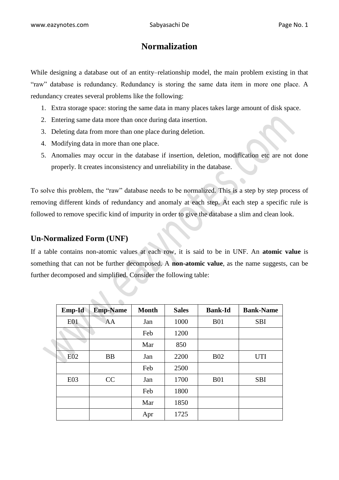# **Normalization**

While designing a database out of an entity–relationship model, the main problem existing in that "raw" database is redundancy. Redundancy is storing the same data item in more one place. A redundancy creates several problems like the following:

- 1. Extra storage space: storing the same data in many places takes large amount of disk space.
- 2. Entering same data more than once during data insertion.
- 3. Deleting data from more than one place during deletion.
- 4. Modifying data in more than one place.
- 5. Anomalies may occur in the database if insertion, deletion, modification etc are not done properly. It creates inconsistency and unreliability in the database.

To solve this problem, the "raw" database needs to be normalized. This is a step by step process of removing different kinds of redundancy and anomaly at each step. At each step a specific rule is followed to remove specific kind of impurity in order to give the database a slim and clean look.

#### **Un-Normalized Form (UNF)**

If a table contains non-atomic values at each row, it is said to be in UNF. An **atomic value** is something that can not be further decomposed. A **non-atomic value**, as the name suggests, can be further decomposed and simplified. Consider the following table:

| Emp-Id     | <b>Emp-Name</b> | <b>Month</b> | <b>Sales</b> | <b>Bank-Id</b> | <b>Bank-Name</b> |
|------------|-----------------|--------------|--------------|----------------|------------------|
| <b>E01</b> | AA              | Jan          | 1000         | <b>B01</b>     | <b>SBI</b>       |
|            |                 | Feb          | 1200         |                |                  |
|            |                 | Mar          | 850          |                |                  |
| $E_{02}$   | <b>BB</b>       | Jan          | 2200         | <b>B02</b>     | <b>UTI</b>       |
|            |                 | Feb          | 2500         |                |                  |
| E03        | CC              | Jan          | 1700         | <b>B01</b>     | <b>SBI</b>       |
|            |                 | Feb          | 1800         |                |                  |
|            |                 | Mar          | 1850         |                |                  |
|            |                 | Apr          | 1725         |                |                  |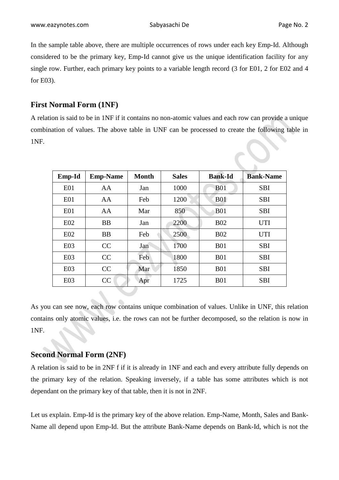In the sample table above, there are multiple occurrences of rows under each key Emp-Id. Although considered to be the primary key, Emp-Id cannot give us the unique identification facility for any single row. Further, each primary key points to a variable length record (3 for E01, 2 for E02 and 4 for E03).

## **First Normal Form (1NF)**

A relation is said to be in 1NF if it contains no non-atomic values and each row can provide a unique combination of values. The above table in UNF can be processed to create the following table in 1NF.

| Emp-Id          | <b>Emp-Name</b> | Month | <b>Sales</b> | <b>Bank-Id</b> | <b>Bank-Name</b> |
|-----------------|-----------------|-------|--------------|----------------|------------------|
| E <sub>01</sub> | AA              | Jan   | 1000         | <b>B01</b>     | <b>SBI</b>       |
| E <sub>01</sub> | AA              | Feb   | 1200         | <b>B01</b>     | <b>SBI</b>       |
| E <sub>01</sub> | AA              | Mar   | 850          | <b>B01</b>     | <b>SBI</b>       |
| E02             | <b>BB</b>       | Jan   | 2200         | <b>B02</b>     | <b>UTI</b>       |
| E02             | <b>BB</b>       | Feb   | 2500         | <b>B02</b>     | <b>UTI</b>       |
| E <sub>03</sub> | CC              | Jan   | 1700         | <b>B01</b>     | <b>SBI</b>       |
| E03             | CC              | Feb   | 1800         | <b>B01</b>     | <b>SBI</b>       |
| E03             | CC              | Mar   | 1850         | <b>B01</b>     | <b>SBI</b>       |
| E03             | CC              | Apr   | 1725         | <b>B01</b>     | <b>SBI</b>       |

As you can see now, each row contains unique combination of values. Unlike in UNF, this relation contains only atomic values, i.e. the rows can not be further decomposed, so the relation is now in 1NF.

### **Second Normal Form (2NF)**

A relation is said to be in 2NF f if it is already in 1NF and each and every attribute fully depends on the primary key of the relation. Speaking inversely, if a table has some attributes which is not dependant on the primary key of that table, then it is not in 2NF.

Let us explain. Emp-Id is the primary key of the above relation. Emp-Name, Month, Sales and Bank-Name all depend upon Emp-Id. But the attribute Bank-Name depends on Bank-Id, which is not the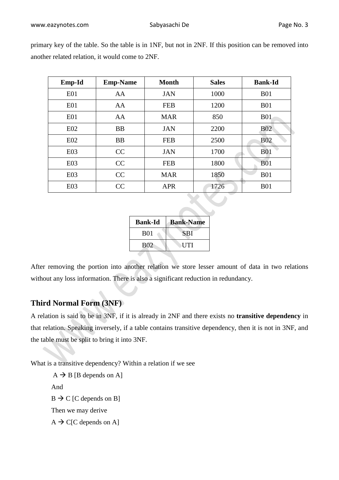| Emp-Id          | <b>Emp-Name</b> | <b>Month</b> | <b>Sales</b> | <b>Bank-Id</b> |
|-----------------|-----------------|--------------|--------------|----------------|
| E01             | AA              | <b>JAN</b>   | 1000         | <b>B01</b>     |
| E01             | AA              | <b>FEB</b>   | 1200         | <b>B01</b>     |
| E <sub>01</sub> | AA              | <b>MAR</b>   | 850          | <b>B01</b>     |
| E02             | <b>BB</b>       | <b>JAN</b>   | 2200         | <b>B02</b>     |
| E02             | <b>BB</b>       | <b>FEB</b>   | 2500         | <b>B02</b>     |
| E03             | CC              | <b>JAN</b>   | 1700         | <b>B01</b>     |
| E03             | CC              | <b>FEB</b>   | 1800         | <b>B01</b>     |
| E03             | CC              | <b>MAR</b>   | 1850         | <b>B01</b>     |
| E03             | CC              | <b>APR</b>   | 1726         | <b>B01</b>     |

primary key of the table. So the table is in 1NF, but not in 2NF. If this position can be removed into another related relation, it would come to 2NF.

| <b>Bank-Id</b> | <b>Bank-Name</b> |
|----------------|------------------|
| <b>B01</b>     | <b>SBI</b>       |
| <b>B02</b>     | UTI              |

After removing the portion into another relation we store lesser amount of data in two relations without any loss information. There is also a significant reduction in redundancy.

## **Third Normal Form (3NF)**

A relation is said to be in 3NF, if it is already in 2NF and there exists no **transitive dependency** in that relation. Speaking inversely, if a table contains transitive dependency, then it is not in 3NF, and the table must be split to bring it into 3NF.

What is a transitive dependency? Within a relation if we see

 $A \rightarrow B$  [B depends on A] And  $B \to C$  [C depends on B] Then we may derive  $A \rightarrow C[C]$  depends on A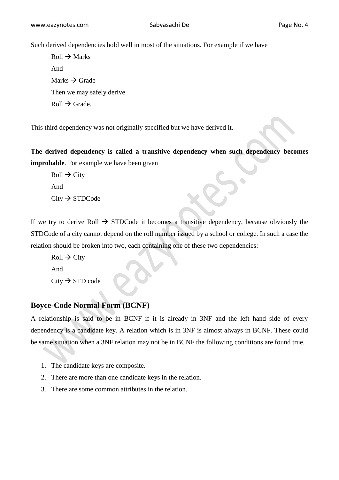Such derived dependencies hold well in most of the situations. For example if we have

 $Roll \rightarrow Marks$ And Marks  $\rightarrow$  Grade Then we may safely derive  $Roll \rightarrow Grade$ .

This third dependency was not originally specified but we have derived it.

**The derived dependency is called a transitive dependency when such dependency becomes improbable**. For example we have been given

 $Roll \rightarrow City$ And  $City \rightarrow STDCode$ 

If we try to derive Roll  $\rightarrow$  STDCode it becomes a transitive dependency, because obviously the STDCode of a city cannot depend on the roll number issued by a school or college. In such a case the relation should be broken into two, each containing one of these two dependencies:

 $Roll \rightarrow City$ And  $City \rightarrow STD code$ 

### **Boyce-Code Normal Form (BCNF)**

A relationship is said to be in BCNF if it is already in 3NF and the left hand side of every dependency is a candidate key. A relation which is in 3NF is almost always in BCNF. These could be same situation when a 3NF relation may not be in BCNF the following conditions are found true.

- 1. The candidate keys are composite.
- 2. There are more than one candidate keys in the relation.
- 3. There are some common attributes in the relation.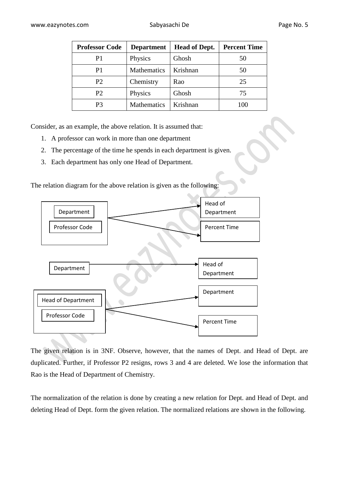| <b>Professor Code</b> | <b>Department</b>  | <b>Head of Dept.</b> | <b>Percent Time</b> |
|-----------------------|--------------------|----------------------|---------------------|
| P1                    | Physics            | Ghosh                | 50                  |
| P1                    | Mathematics        | Krishnan             | 50                  |
| P <sub>2</sub>        | Chemistry          | Rao                  | 25                  |
| P <sub>2</sub>        | Physics            | Ghosh                | 75                  |
| P3                    | <b>Mathematics</b> | Krishnan             | 100                 |

Consider, as an example, the above relation. It is assumed that:

- 1. A professor can work in more than one department
- 2. The percentage of the time he spends in each department is given.
- 3. Each department has only one Head of Department.

The relation diagram for the above relation is given as the following:



The given relation is in 3NF. Observe, however, that the names of Dept. and Head of Dept. are duplicated. Further, if Professor P2 resigns, rows 3 and 4 are deleted. We lose the information that Rao is the Head of Department of Chemistry.

The normalization of the relation is done by creating a new relation for Dept. and Head of Dept. and deleting Head of Dept. form the given relation. The normalized relations are shown in the following.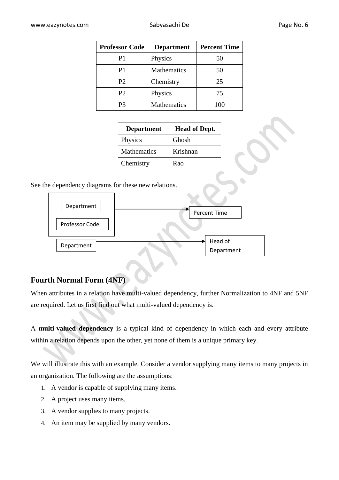| <b>Professor Code</b> | <b>Department</b> | <b>Percent Time</b> |
|-----------------------|-------------------|---------------------|
| P <sub>1</sub>        | Physics           | 50                  |
| P1                    | Mathematics       | 50                  |
| P2                    | Chemistry         | 25                  |
| P <sub>2</sub>        | Physics           | 75                  |
| P3                    | Mathematics       | 100                 |

| <b>Department</b> | <b>Head of Dept.</b> |
|-------------------|----------------------|
| Physics           | Ghosh                |
| Mathematics       | Krishnan             |
| Chemistry         | Rao                  |

See the dependency diagrams for these new relations.



## **Fourth Normal Form (4NF)**

When attributes in a relation have multi-valued dependency, further Normalization to 4NF and 5NF are required. Let us first find out what multi-valued dependency is.

A **multi-valued dependency** is a typical kind of dependency in which each and every attribute within a relation depends upon the other, yet none of them is a unique primary key.

We will illustrate this with an example. Consider a vendor supplying many items to many projects in an organization. The following are the assumptions:

- 1. A vendor is capable of supplying many items.
- 2. A project uses many items.
- 3. A vendor supplies to many projects.
- 4. An item may be supplied by many vendors.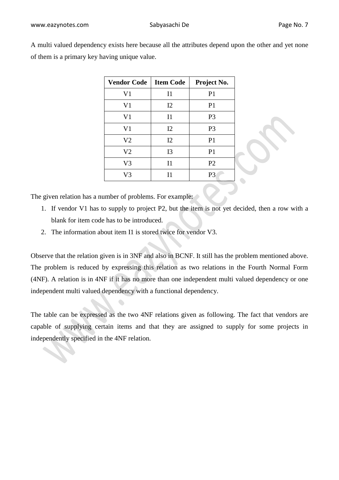A multi valued dependency exists here because all the attributes depend upon the other and yet none of them is a primary key having unique value.

| <b>Vendor Code</b> | <b>Item Code</b> | Project No.    |
|--------------------|------------------|----------------|
| V <sub>1</sub>     | I <sub>1</sub>   | P <sub>1</sub> |
| V <sub>1</sub>     | I2               | P <sub>1</sub> |
| V <sub>1</sub>     | I <sub>1</sub>   | P <sub>3</sub> |
| V <sub>1</sub>     | I2               | P <sub>3</sub> |
| V <sub>2</sub>     | I2               | P <sub>1</sub> |
| V <sub>2</sub>     | I3               | P <sub>1</sub> |
| V <sub>3</sub>     | I <sub>1</sub>   | P <sub>2</sub> |
| V3                 | 11               | P <sub>3</sub> |

The given relation has a number of problems. For example:

- 1. If vendor V1 has to supply to project P2, but the item is not yet decided, then a row with a blank for item code has to be introduced.
- 2. The information about item I1 is stored twice for vendor V3.

Observe that the relation given is in 3NF and also in BCNF. It still has the problem mentioned above. The problem is reduced by expressing this relation as two relations in the Fourth Normal Form (4NF). A relation is in 4NF if it has no more than one independent multi valued dependency or one independent multi valued dependency with a functional dependency.

The table can be expressed as the two 4NF relations given as following. The fact that vendors are capable of supplying certain items and that they are assigned to supply for some projects in independently specified in the 4NF relation.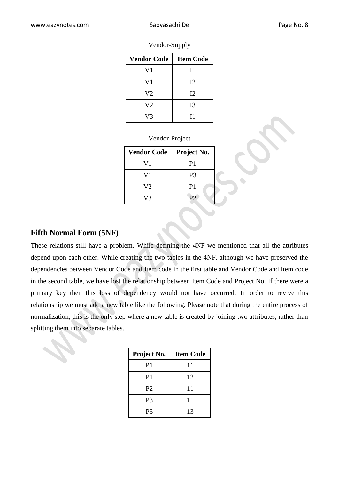| <b>Vendor Code</b> | <b>Item Code</b> |
|--------------------|------------------|
| V <sub>1</sub>     | I <sub>1</sub>   |
| V <sub>1</sub>     | I2               |
| V <sub>2</sub>     | 12               |
| V <sub>2</sub>     | I3               |
| V3                 | Τ1               |

Vendor-Supply

| Vendor-Project |  |  |  |  |  |
|----------------|--|--|--|--|--|
|----------------|--|--|--|--|--|

| <b>Vendor Code</b> | Project No.    |
|--------------------|----------------|
| V1                 | P1             |
| V1                 | P <sub>3</sub> |
| V2                 | P1             |
| V3                 | P?             |

#### **Fifth Normal Form (5NF)**

These relations still have a problem. While defining the 4NF we mentioned that all the attributes depend upon each other. While creating the two tables in the 4NF, although we have preserved the dependencies between Vendor Code and Item code in the first table and Vendor Code and Item code in the second table, we have lost the relationship between Item Code and Project No. If there were a primary key then this loss of dependency would not have occurred. In order to revive this relationship we must add a new table like the following. Please note that during the entire process of normalization, this is the only step where a new table is created by joining two attributes, rather than splitting them into separate tables.

| Project No.    | <b>Item Code</b> |
|----------------|------------------|
| P <sub>1</sub> | 11               |
| P <sub>1</sub> | 12               |
| P <sub>2</sub> | 11               |
| P <sub>3</sub> | 11               |
| P3             | 13               |